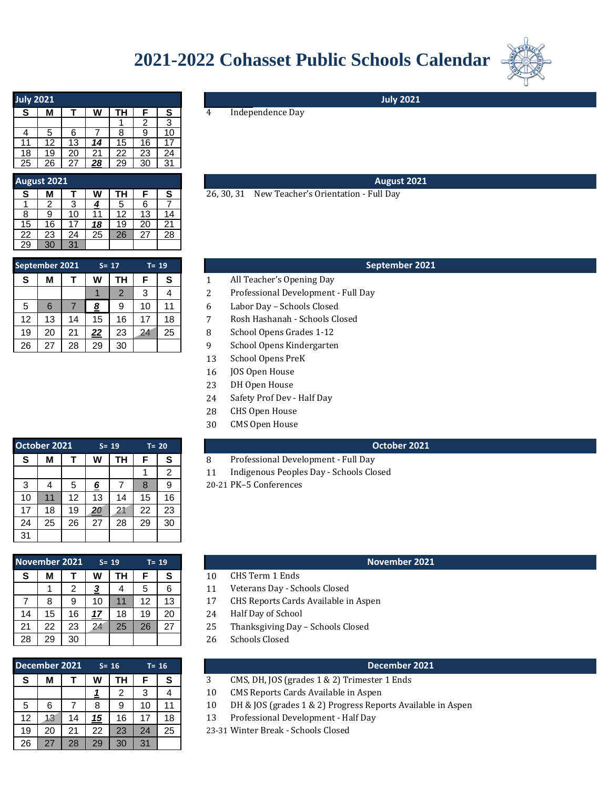## **2021-2022 Cohasset Public Schools Calendar**



| <b>July 2021</b> |    |    |    |    |    |    |  |  |  |  |  |
|------------------|----|----|----|----|----|----|--|--|--|--|--|
| S                | М  |    | W  | TΗ | F  | S  |  |  |  |  |  |
|                  |    |    |    |    | 2  | 3  |  |  |  |  |  |
| 4                | 5  | 6  |    | 8  | 9  | 10 |  |  |  |  |  |
| 11               | 12 | 13 | 14 | 15 | 16 |    |  |  |  |  |  |
| 18               | 19 | 20 | 21 | 22 | 23 | 24 |  |  |  |  |  |
| 25               | 26 | 27 | 28 | 29 | 30 | 31 |  |  |  |  |  |

### **August 2021**

| S               | М  |    | W  | ΤН | F  | S  |
|-----------------|----|----|----|----|----|----|
|                 |    | 3  | 4  | 5  | 6  |    |
| 8               | 9  | 10 | 11 | 12 | 13 | 14 |
| 15              | 16 | 17 | 18 | 19 | 20 | 21 |
| 22              | 23 | 24 | 25 | 26 | 27 | 28 |
| $2\overline{9}$ | 30 | 31 |    |    |    |    |

|   | $T = 19$ |    | $S = 17$       |    |    | September 2021 |    |  |  |  |
|---|----------|----|----------------|----|----|----------------|----|--|--|--|
|   | S        | F  | TН             | W  |    | М              | S  |  |  |  |
| 2 |          | 3  | $\overline{2}$ |    |    |                |    |  |  |  |
| 6 | 11       | 10 | 9              | 8  |    | 6              | 5  |  |  |  |
| 7 | 18       | 17 | 16             | 15 | 14 | 13             | 12 |  |  |  |
| 8 | 25       | 24 | 23             | 22 | 21 | 20             | 19 |  |  |  |
| 9 |          |    | 30             | 29 | 28 | 27             | 26 |  |  |  |

# **S M T W TH F S** 4 Independence Day **July 2021 August 2021** 26, 30, 31 New Teacher's Orientation - Full Day

#### **September 2021**

- All Teacher's Opening Day
- Professional Development Full Day
- 5 6 7 *8* 9 10 11 *3* 6 Labor Day Schools Closed
- Rosh Hashanah Schools Closed
- School Opens Grades 1-12
- School Opens Kindergarten
- 13 School Opens PreK
- 16 JOS Open House
- 23 DH Open House
- 24 Safety Prof Dev - Half Day
- 28 CHS Open House
- 30 CMS Open House

#### **October 2021**

- Professional Development Full Day
- $11$ Indigenous Peoples Day - Schools Closed
- 20-21 PK-5 Conferences

#### **November 2021**

- CHS Term 1 Ends
- Veterans Day Schools Closed
- CHS Reports Cards Available in Aspen
- Half Day of School
- Thanksgiving Day Schools Closed
- Schools Closed

#### **December 2021 December 2021**

- CMS, DH, JOS (grades 1 & 2) Trimester 1 Ends
- CMS Reports Cards Available in Aspen
- DH & JOS (grades 1 & 2) Progress Reports Available in Aspen
	- Professional Development Half Day
- Winter Break Schools Closed

|    | October 2021 |    |            | $S = 19$ |    | $T = 20$ |
|----|--------------|----|------------|----------|----|----------|
| S  | М            |    | W          | TН       | F  | S        |
|    |              |    |            |          |    | 2        |
| 3  |              | 5  | <u>6</u>   |          | 8  | 9        |
| 10 | 11           | 12 | 13         | 14       | 15 | 16       |
| 17 | 18           | 19 | <u> 20</u> | 21       | 22 | 23       |
| 24 | 25           | 26 | 27         | 28       | 29 | 30       |
| 31 |              |    |            |          |    |          |

|    | <b>November 2021</b> |    |            | $S = 19$ | $T = 19$ |    |
|----|----------------------|----|------------|----------|----------|----|
| S  | м                    |    | w          | ΤН       | F        | S  |
|    |                      | 2  |            |          | 5        | 6  |
|    | 8                    | 9  | 10         | 11       | 12       | 13 |
| 14 | 15                   | 16 | <u> 17</u> | 18       | 19       | 20 |
| 21 | 22                   | 23 | 24         | 25       | 26       | 27 |
| 28 | 29                   | 30 |            |          |          |    |

| December 2021 |    |    |    | $S = 16$ |    | $T = 16$ |       |
|---------------|----|----|----|----------|----|----------|-------|
| S             | М  |    | W  | ΤН       | F  | S        | 3     |
|               |    |    |    | 2        | 3  |          | 10    |
| 5             | 6  |    | 8  | 9        | 10 | 11       | 10    |
| 12            | 13 | 14 | 15 | 16       | 17 | 18       | 13    |
| 19            | 20 | 21 | 22 | 23       | 24 | 25       | 23-31 |
| 26            | 27 | 28 | 29 | 30       | 31 |          |       |